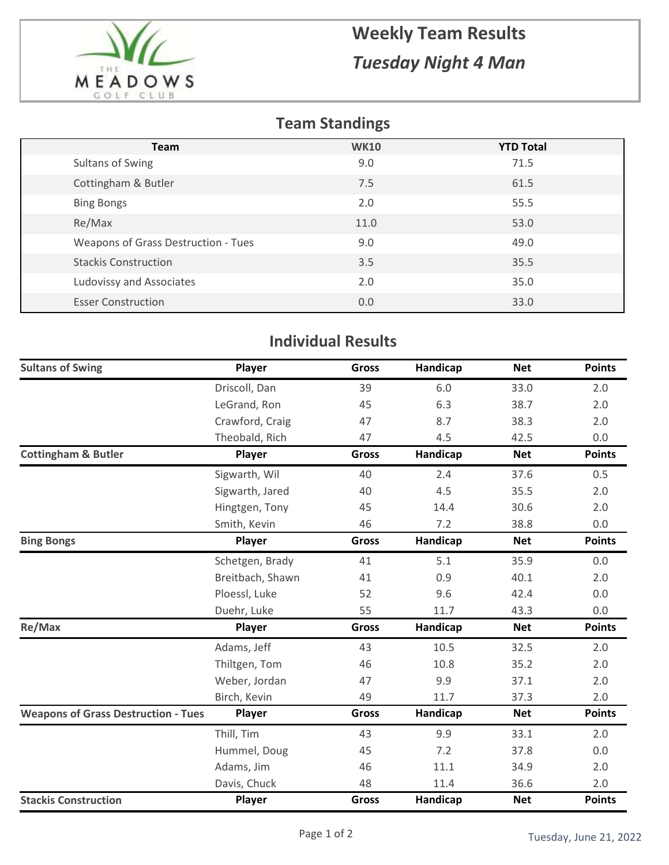

## **Weekly Team Results** *Tuesday Night 4 Man*

## **Team Standings**

| <b>Team</b>                         | <b>WK10</b> | <b>YTD Total</b> |
|-------------------------------------|-------------|------------------|
| Sultans of Swing                    | 9.0         | 71.5             |
| Cottingham & Butler                 | 7.5         | 61.5             |
| <b>Bing Bongs</b>                   | 2.0         | 55.5             |
| Re/Max                              | 11.0        | 53.0             |
| Weapons of Grass Destruction - Tues | 9.0         | 49.0             |
| <b>Stackis Construction</b>         | 3.5         | 35.5             |
| Ludovissy and Associates            | 2.0         | 35.0             |
| <b>Esser Construction</b>           | 0.0         | 33.0             |

## **Individual Results**

| <b>Sultans of Swing</b>                    | Player           | <b>Gross</b> | Handicap | <b>Net</b> | <b>Points</b> |
|--------------------------------------------|------------------|--------------|----------|------------|---------------|
|                                            | Driscoll, Dan    | 39           | 6.0      | 33.0       | 2.0           |
|                                            | LeGrand, Ron     | 45           | 6.3      | 38.7       | 2.0           |
|                                            | Crawford, Craig  | 47           | 8.7      | 38.3       | 2.0           |
|                                            | Theobald, Rich   | 47           | 4.5      | 42.5       | 0.0           |
| <b>Cottingham &amp; Butler</b>             | Player           | <b>Gross</b> | Handicap | <b>Net</b> | <b>Points</b> |
|                                            | Sigwarth, Wil    | 40           | 2.4      | 37.6       | 0.5           |
|                                            | Sigwarth, Jared  | 40           | 4.5      | 35.5       | 2.0           |
|                                            | Hingtgen, Tony   | 45           | 14.4     | 30.6       | 2.0           |
|                                            | Smith, Kevin     | 46           | 7.2      | 38.8       | 0.0           |
| <b>Bing Bongs</b>                          | Player           | <b>Gross</b> | Handicap | <b>Net</b> | <b>Points</b> |
|                                            | Schetgen, Brady  | 41           | 5.1      | 35.9       | 0.0           |
|                                            | Breitbach, Shawn | 41           | 0.9      | 40.1       | 2.0           |
|                                            | Ploessl, Luke    | 52           | 9.6      | 42.4       | 0.0           |
|                                            | Duehr, Luke      | 55           | 11.7     | 43.3       | 0.0           |
| Re/Max                                     | Player           | Gross        | Handicap | <b>Net</b> | <b>Points</b> |
|                                            | Adams, Jeff      | 43           | 10.5     | 32.5       | 2.0           |
|                                            | Thiltgen, Tom    | 46           | 10.8     | 35.2       | 2.0           |
|                                            | Weber, Jordan    | 47           | 9.9      | 37.1       | 2.0           |
|                                            | Birch, Kevin     | 49           | 11.7     | 37.3       | 2.0           |
| <b>Weapons of Grass Destruction - Tues</b> | Player           | Gross        | Handicap | <b>Net</b> | <b>Points</b> |
|                                            | Thill, Tim       | 43           | 9.9      | 33.1       | 2.0           |
|                                            | Hummel, Doug     | 45           | 7.2      | 37.8       | 0.0           |
|                                            | Adams, Jim       | 46           | 11.1     | 34.9       | 2.0           |
|                                            | Davis, Chuck     | 48           | 11.4     | 36.6       | 2.0           |
| <b>Stackis Construction</b>                | Player           | <b>Gross</b> | Handicap | <b>Net</b> | <b>Points</b> |